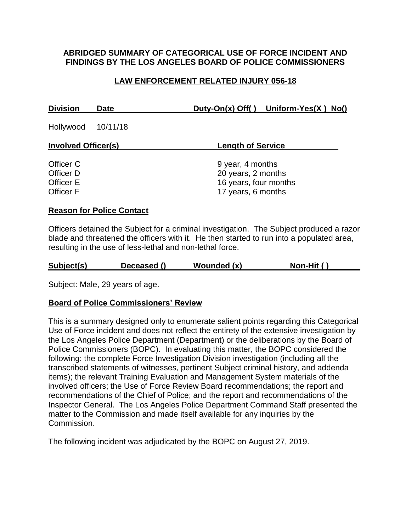## **ABRIDGED SUMMARY OF CATEGORICAL USE OF FORCE INCIDENT AND FINDINGS BY THE LOS ANGELES BOARD OF POLICE COMMISSIONERS**

# **LAW ENFORCEMENT RELATED INJURY 056-18**

| <b>Division</b>    | Date | Duty-On(x) Off() Uniform-Yes(X) No() |
|--------------------|------|--------------------------------------|
| Hollywood 10/11/18 |      |                                      |

| <b>Involved Officer(s)</b> | <b>Length of Service</b> |  |  |
|----------------------------|--------------------------|--|--|
|                            |                          |  |  |
| Officer C                  | 9 year, 4 months         |  |  |
| Officer D                  | 20 years, 2 months       |  |  |
| Officer E                  | 16 years, four months    |  |  |
| Officer F                  | 17 years, 6 months       |  |  |

#### **Reason for Police Contact**

Officers detained the Subject for a criminal investigation. The Subject produced a razor blade and threatened the officers with it. He then started to run into a populated area, resulting in the use of less-lethal and non-lethal force.

| Subject(s) | Deceased () | Wounded (x) | Non-Hit () |
|------------|-------------|-------------|------------|
|            |             |             |            |

Subject: Male, 29 years of age.

### **Board of Police Commissioners' Review**

This is a summary designed only to enumerate salient points regarding this Categorical Use of Force incident and does not reflect the entirety of the extensive investigation by the Los Angeles Police Department (Department) or the deliberations by the Board of Police Commissioners (BOPC). In evaluating this matter, the BOPC considered the following: the complete Force Investigation Division investigation (including all the transcribed statements of witnesses, pertinent Subject criminal history, and addenda items); the relevant Training Evaluation and Management System materials of the involved officers; the Use of Force Review Board recommendations; the report and recommendations of the Chief of Police; and the report and recommendations of the Inspector General. The Los Angeles Police Department Command Staff presented the matter to the Commission and made itself available for any inquiries by the Commission.

The following incident was adjudicated by the BOPC on August 27, 2019.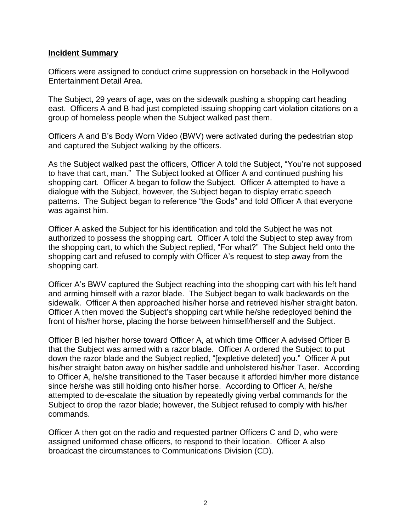#### **Incident Summary**

Officers were assigned to conduct crime suppression on horseback in the Hollywood Entertainment Detail Area.

The Subject, 29 years of age, was on the sidewalk pushing a shopping cart heading east. Officers A and B had just completed issuing shopping cart violation citations on a group of homeless people when the Subject walked past them.

Officers A and B's Body Worn Video (BWV) were activated during the pedestrian stop and captured the Subject walking by the officers.

As the Subject walked past the officers, Officer A told the Subject, "You're not supposed to have that cart, man." The Subject looked at Officer A and continued pushing his shopping cart. Officer A began to follow the Subject. Officer A attempted to have a dialogue with the Subject, however, the Subject began to display erratic speech patterns. The Subject began to reference "the Gods" and told Officer A that everyone was against him.

Officer A asked the Subject for his identification and told the Subject he was not authorized to possess the shopping cart. Officer A told the Subject to step away from the shopping cart, to which the Subject replied, "For what?" The Subject held onto the shopping cart and refused to comply with Officer A's request to step away from the shopping cart.

Officer A's BWV captured the Subject reaching into the shopping cart with his left hand and arming himself with a razor blade. The Subject began to walk backwards on the sidewalk. Officer A then approached his/her horse and retrieved his/her straight baton. Officer A then moved the Subject's shopping cart while he/she redeployed behind the front of his/her horse, placing the horse between himself/herself and the Subject.

Officer B led his/her horse toward Officer A, at which time Officer A advised Officer B that the Subject was armed with a razor blade. Officer A ordered the Subject to put down the razor blade and the Subject replied, "[expletive deleted] you."Officer A put his/her straight baton away on his/her saddle and unholstered his/her Taser. According to Officer A, he/she transitioned to the Taser because it afforded him/her more distance since he/she was still holding onto his/her horse. According to Officer A, he/she attempted to de-escalate the situation by repeatedly giving verbal commands for the Subject to drop the razor blade; however, the Subject refused to comply with his/her commands.

Officer A then got on the radio and requested partner Officers C and D, who were assigned uniformed chase officers, to respond to their location. Officer A also broadcast the circumstances to Communications Division (CD).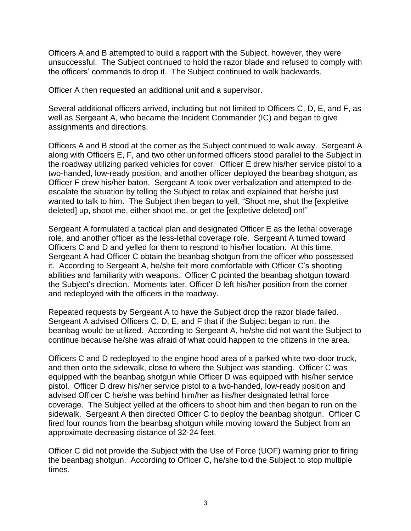Officers A and B attempted to build a rapport with the Subject, however, they were unsuccessful. The Subject continued to hold the razor blade and refused to comply with the officers' commands to drop it. The Subject continued to walk backwards.

Officer A then requested an additional unit and a supervisor.

Several additional officers arrived, including but not limited to Officers C, D, E, and F, as well as Sergeant A, who became the Incident Commander (IC) and began to give assignments and directions.

Officers A and B stood at the corner as the Subject continued to walk away. Sergeant A along with Officers E, F, and two other uniformed officers stood parallel to the Subject in the roadway utilizing parked vehicles for cover. Officer E drew his/her service pistol to a two-handed, low-ready position, and another officer deployed the beanbag shotgun, as Officer F drew his/her baton. Sergeant A took over verbalization and attempted to deescalate the situation by telling the Subject to relax and explained that he/she just wanted to talk to him. The Subject then began to yell, "Shoot me, shut the [expletive deleted] up, shoot me, either shoot me, or get the [expletive deleted] on!"

Sergeant A formulated a tactical plan and designated Officer E as the lethal coverage role, and another officer as the less-lethal coverage role. Sergeant A turned toward Officers C and D and yelled for them to respond to his/her location. At this time, Sergeant A had Officer C obtain the beanbag shotgun from the officer who possessed it. According to Sergeant A, he/she felt more comfortable with Officer C's shooting abilities and familiarity with weapons. Officer C pointed the beanbag shotgun toward the Subject's direction. Moments later, Officer D left his/her position from the corner and redeployed with the officers in the roadway.

Repeated requests by Sergeant A to have the Subject drop the razor blade failed. Sergeant A advised Officers C, D, E, and F that if the Subject began to run, the beanbag would be utilized. According to Sergeant A, he/she did not want the Subject to continue because he/she was afraid of what could happen to the citizens in the area.

Officers C and D redeployed to the engine hood area of a parked white two-door truck, and then onto the sidewalk, close to where the Subject was standing. Officer C was equipped with the beanbag shotgun while Officer D was equipped with his/her service pistol. Officer D drew his/her service pistol to a two-handed, low-ready position and advised Officer C he/she was behind him/her as his/her designated lethal force coverage. The Subject yelled at the officers to shoot him and then began to run on the sidewalk. Sergeant A then directed Officer C to deploy the beanbag shotgun. Officer C fired four rounds from the beanbag shotgun while moving toward the Subject from an approximate decreasing distance of 32-24 feet.

Officer C did not provide the Subject with the Use of Force (UOF) warning prior to firing the beanbag shotgun. According to Officer C, he/she told the Subject to stop multiple times.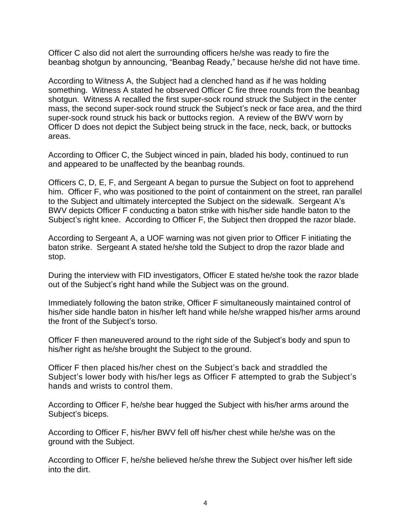Officer C also did not alert the surrounding officers he/she was ready to fire the beanbag shotgun by announcing, "Beanbag Ready," because he/she did not have time.

According to Witness A, the Subject had a clenched hand as if he was holding something. Witness A stated he observed Officer C fire three rounds from the beanbag shotgun. Witness A recalled the first super-sock round struck the Subject in the center mass, the second super-sock round struck the Subject's neck or face area, and the third super-sock round struck his back or buttocks region. A review of the BWV worn by Officer D does not depict the Subject being struck in the face, neck, back, or buttocks areas.

According to Officer C, the Subject winced in pain, bladed his body, continued to run and appeared to be unaffected by the beanbag rounds.

Officers C, D, E, F, and Sergeant A began to pursue the Subject on foot to apprehend him. Officer F, who was positioned to the point of containment on the street, ran parallel to the Subject and ultimately intercepted the Subject on the sidewalk. Sergeant A's BWV depicts Officer F conducting a baton strike with his/her side handle baton to the Subject's right knee. According to Officer F, the Subject then dropped the razor blade.

According to Sergeant A, a UOF warning was not given prior to Officer F initiating the baton strike. Sergeant A stated he/she told the Subject to drop the razor blade and stop.

During the interview with FID investigators, Officer E stated he/she took the razor blade out of the Subject's right hand while the Subject was on the ground.

Immediately following the baton strike, Officer F simultaneously maintained control of his/her side handle baton in his/her left hand while he/she wrapped his/her arms around the front of the Subject's torso.

Officer F then maneuvered around to the right side of the Subject's body and spun to his/her right as he/she brought the Subject to the ground.

Officer F then placed his/her chest on the Subject's back and straddled the Subject's lower body with his/her legs as Officer F attempted to grab the Subject's hands and wrists to control them.

According to Officer F, he/she bear hugged the Subject with his/her arms around the Subject's biceps.

According to Officer F, his/her BWV fell off his/her chest while he/she was on the ground with the Subject.

According to Officer F, he/she believed he/she threw the Subject over his/her left side into the dirt.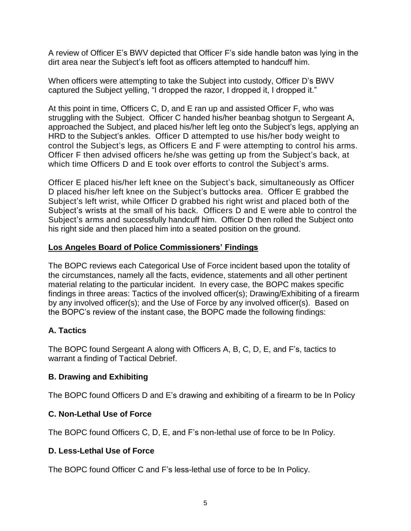A review of Officer E's BWV depicted that Officer F's side handle baton was lying in the dirt area near the Subject's left foot as officers attempted to handcuff him.

When officers were attempting to take the Subject into custody, Officer D's BWV captured the Subject yelling, "I dropped the razor, I dropped it, I dropped it."

At this point in time, Officers C, D, and E ran up and assisted Officer F, who was struggling with the Subject. Officer C handed his/her beanbag shotgun to Sergeant A, approached the Subject, and placed his/her left leg onto the Subject's legs, applying an HRD to the Subject's ankles. Officer D attempted to use his/her body weight to control the Subject's legs, as Officers E and F were attempting to control his arms. Officer F then advised officers he/she was getting up from the Subject's back, at which time Officers D and E took over efforts to control the Subject's arms.

Officer E placed his/her left knee on the Subject's back, simultaneously as Officer D placed his/her left knee on the Subject's buttocks area. Officer E grabbed the Subject's left wrist, while Officer D grabbed his right wrist and placed both of the Subject's wrists at the small of his back. Officers D and E were able to control the Subject's arms and successfully handcuff him. Officer D then rolled the Subject onto his right side and then placed him into a seated position on the ground.

# **Los Angeles Board of Police Commissioners' Findings**

The BOPC reviews each Categorical Use of Force incident based upon the totality of the circumstances, namely all the facts, evidence, statements and all other pertinent material relating to the particular incident. In every case, the BOPC makes specific findings in three areas: Tactics of the involved officer(s); Drawing/Exhibiting of a firearm by any involved officer(s); and the Use of Force by any involved officer(s). Based on the BOPC's review of the instant case, the BOPC made the following findings:

# **A. Tactics**

The BOPC found Sergeant A along with Officers A, B, C, D, E, and F's, tactics to warrant a finding of Tactical Debrief.

# **B. Drawing and Exhibiting**

The BOPC found Officers D and E's drawing and exhibiting of a firearm to be In Policy

# **C. Non-Lethal Use of Force**

The BOPC found Officers C, D, E, and F's non-lethal use of force to be In Policy.

# **D. Less-Lethal Use of Force**

The BOPC found Officer C and F's less-lethal use of force to be In Policy.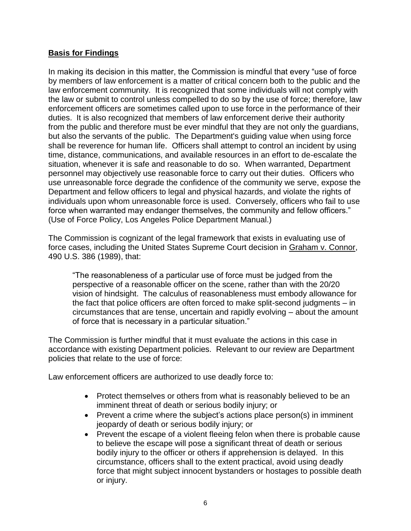## **Basis for Findings**

In making its decision in this matter, the Commission is mindful that every "use of force by members of law enforcement is a matter of critical concern both to the public and the law enforcement community. It is recognized that some individuals will not comply with the law or submit to control unless compelled to do so by the use of force; therefore, law enforcement officers are sometimes called upon to use force in the performance of their duties. It is also recognized that members of law enforcement derive their authority from the public and therefore must be ever mindful that they are not only the guardians, but also the servants of the public. The Department's guiding value when using force shall be reverence for human life. Officers shall attempt to control an incident by using time, distance, communications, and available resources in an effort to de-escalate the situation, whenever it is safe and reasonable to do so. When warranted, Department personnel may objectively use reasonable force to carry out their duties. Officers who use unreasonable force degrade the confidence of the community we serve, expose the Department and fellow officers to legal and physical hazards, and violate the rights of individuals upon whom unreasonable force is used. Conversely, officers who fail to use force when warranted may endanger themselves, the community and fellow officers." (Use of Force Policy, Los Angeles Police Department Manual.)

The Commission is cognizant of the legal framework that exists in evaluating use of force cases, including the United States Supreme Court decision in Graham v. Connor, 490 U.S. 386 (1989), that:

"The reasonableness of a particular use of force must be judged from the perspective of a reasonable officer on the scene, rather than with the 20/20 vision of hindsight. The calculus of reasonableness must embody allowance for the fact that police officers are often forced to make split-second judgments – in circumstances that are tense, uncertain and rapidly evolving – about the amount of force that is necessary in a particular situation."

The Commission is further mindful that it must evaluate the actions in this case in accordance with existing Department policies. Relevant to our review are Department policies that relate to the use of force:

Law enforcement officers are authorized to use deadly force to:

- Protect themselves or others from what is reasonably believed to be an imminent threat of death or serious bodily injury; or
- Prevent a crime where the subject's actions place person(s) in imminent jeopardy of death or serious bodily injury; or
- Prevent the escape of a violent fleeing felon when there is probable cause to believe the escape will pose a significant threat of death or serious bodily injury to the officer or others if apprehension is delayed. In this circumstance, officers shall to the extent practical, avoid using deadly force that might subject innocent bystanders or hostages to possible death or injury.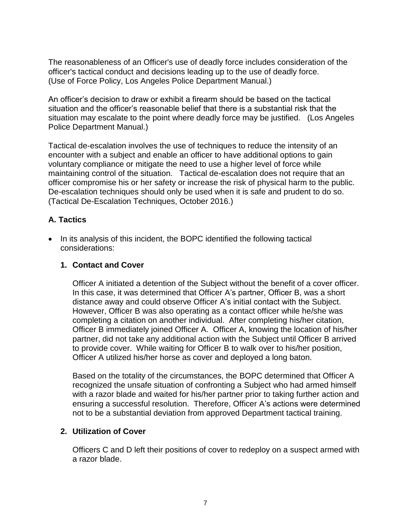The reasonableness of an Officer's use of deadly force includes consideration of the officer's tactical conduct and decisions leading up to the use of deadly force. (Use of Force Policy, Los Angeles Police Department Manual.)

An officer's decision to draw or exhibit a firearm should be based on the tactical situation and the officer's reasonable belief that there is a substantial risk that the situation may escalate to the point where deadly force may be justified. (Los Angeles Police Department Manual.)

Tactical de-escalation involves the use of techniques to reduce the intensity of an encounter with a subject and enable an officer to have additional options to gain voluntary compliance or mitigate the need to use a higher level of force while maintaining control of the situation. Tactical de-escalation does not require that an officer compromise his or her safety or increase the risk of physical harm to the public. De-escalation techniques should only be used when it is safe and prudent to do so. (Tactical De-Escalation Techniques, October 2016.)

# **A. Tactics**

• In its analysis of this incident, the BOPC identified the following tactical considerations:

## **1. Contact and Cover**

Officer A initiated a detention of the Subject without the benefit of a cover officer. In this case, it was determined that Officer A's partner, Officer B, was a short distance away and could observe Officer A's initial contact with the Subject. However, Officer B was also operating as a contact officer while he/she was completing a citation on another individual. After completing his/her citation, Officer B immediately joined Officer A. Officer A, knowing the location of his/her partner, did not take any additional action with the Subject until Officer B arrived to provide cover. While waiting for Officer B to walk over to his/her position, Officer A utilized his/her horse as cover and deployed a long baton.

Based on the totality of the circumstances, the BOPC determined that Officer A recognized the unsafe situation of confronting a Subject who had armed himself with a razor blade and waited for his/her partner prior to taking further action and ensuring a successful resolution. Therefore, Officer A's actions were determined not to be a substantial deviation from approved Department tactical training.

# **2. Utilization of Cover**

Officers C and D left their positions of cover to redeploy on a suspect armed with a razor blade.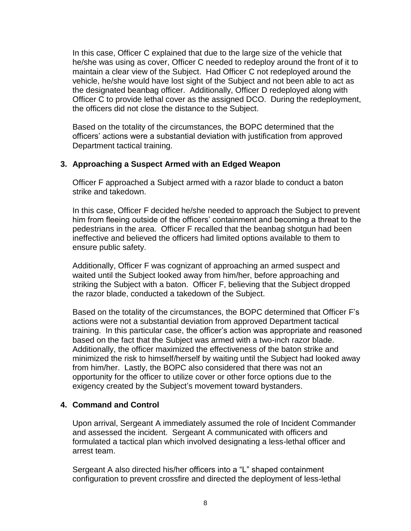In this case, Officer C explained that due to the large size of the vehicle that he/she was using as cover, Officer C needed to redeploy around the front of it to maintain a clear view of the Subject. Had Officer C not redeployed around the vehicle, he/she would have lost sight of the Subject and not been able to act as the designated beanbag officer. Additionally, Officer D redeployed along with Officer C to provide lethal cover as the assigned DCO. During the redeployment, the officers did not close the distance to the Subject.

Based on the totality of the circumstances, the BOPC determined that the officers' actions were a substantial deviation with justification from approved Department tactical training.

### **3. Approaching a Suspect Armed with an Edged Weapon**

Officer F approached a Subject armed with a razor blade to conduct a baton strike and takedown.

In this case, Officer F decided he/she needed to approach the Subject to prevent him from fleeing outside of the officers' containment and becoming a threat to the pedestrians in the area. Officer F recalled that the beanbag shotgun had been ineffective and believed the officers had limited options available to them to ensure public safety.

Additionally, Officer F was cognizant of approaching an armed suspect and waited until the Subject looked away from him/her, before approaching and striking the Subject with a baton. Officer F, believing that the Subject dropped the razor blade, conducted a takedown of the Subject.

Based on the totality of the circumstances, the BOPC determined that Officer F's actions were not a substantial deviation from approved Department tactical training. In this particular case, the officer's action was appropriate and reasoned based on the fact that the Subject was armed with a two-inch razor blade. Additionally, the officer maximized the effectiveness of the baton strike and minimized the risk to himself/herself by waiting until the Subject had looked away from him/her. Lastly, the BOPC also considered that there was not an opportunity for the officer to utilize cover or other force options due to the exigency created by the Subject's movement toward bystanders.

### **4. Command and Control**

Upon arrival, Sergeant A immediately assumed the role of Incident Commander and assessed the incident. Sergeant A communicated with officers and formulated a tactical plan which involved designating a less-lethal officer and arrest team.

Sergeant A also directed his/her officers into a "L" shaped containment configuration to prevent crossfire and directed the deployment of less-lethal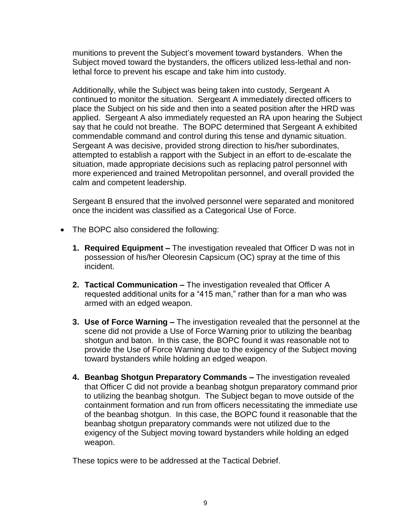munitions to prevent the Subject's movement toward bystanders. When the Subject moved toward the bystanders, the officers utilized less-lethal and nonlethal force to prevent his escape and take him into custody.

Additionally, while the Subject was being taken into custody, Sergeant A continued to monitor the situation. Sergeant A immediately directed officers to place the Subject on his side and then into a seated position after the HRD was applied. Sergeant A also immediately requested an RA upon hearing the Subject say that he could not breathe. The BOPC determined that Sergeant A exhibited commendable command and control during this tense and dynamic situation. Sergeant A was decisive, provided strong direction to his/her subordinates, attempted to establish a rapport with the Subject in an effort to de-escalate the situation, made appropriate decisions such as replacing patrol personnel with more experienced and trained Metropolitan personnel, and overall provided the calm and competent leadership.

Sergeant B ensured that the involved personnel were separated and monitored once the incident was classified as a Categorical Use of Force.

- The BOPC also considered the following:
	- **1. Required Equipment –** The investigation revealed that Officer D was not in possession of his/her Oleoresin Capsicum (OC) spray at the time of this incident.
	- **2. Tactical Communication –** The investigation revealed that Officer A requested additional units for a "415 man," rather than for a man who was armed with an edged weapon.
	- **3. Use of Force Warning –** The investigation revealed that the personnel at the scene did not provide a Use of Force Warning prior to utilizing the beanbag shotgun and baton. In this case, the BOPC found it was reasonable not to provide the Use of Force Warning due to the exigency of the Subject moving toward bystanders while holding an edged weapon.
	- **4. Beanbag Shotgun Preparatory Commands –** The investigation revealed that Officer C did not provide a beanbag shotgun preparatory command prior to utilizing the beanbag shotgun. The Subject began to move outside of the containment formation and run from officers necessitating the immediate use of the beanbag shotgun. In this case, the BOPC found it reasonable that the beanbag shotgun preparatory commands were not utilized due to the exigency of the Subject moving toward bystanders while holding an edged weapon.

These topics were to be addressed at the Tactical Debrief.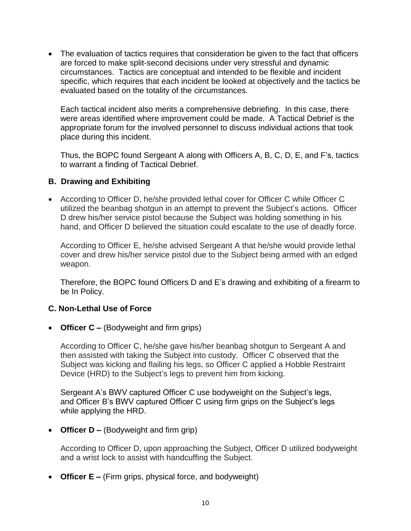• The evaluation of tactics requires that consideration be given to the fact that officers are forced to make split-second decisions under very stressful and dynamic circumstances. Tactics are conceptual and intended to be flexible and incident specific, which requires that each incident be looked at objectively and the tactics be evaluated based on the totality of the circumstances.

Each tactical incident also merits a comprehensive debriefing. In this case, there were areas identified where improvement could be made. A Tactical Debrief is the appropriate forum for the involved personnel to discuss individual actions that took place during this incident.

Thus, the BOPC found Sergeant A along with Officers A, B, C, D, E, and F's, tactics to warrant a finding of Tactical Debrief.

## **B. Drawing and Exhibiting**

• According to Officer D, he/she provided lethal cover for Officer C while Officer C utilized the beanbag shotgun in an attempt to prevent the Subject's actions. Officer D drew his/her service pistol because the Subject was holding something in his hand, and Officer D believed the situation could escalate to the use of deadly force.

According to Officer E, he/she advised Sergeant A that he/she would provide lethal cover and drew his/her service pistol due to the Subject being armed with an edged weapon.

Therefore, the BOPC found Officers D and E's drawing and exhibiting of a firearm to be In Policy.

### **C. Non-Lethal Use of Force**

• **Officer C –** (Bodyweight and firm grips)

According to Officer C, he/she gave his/her beanbag shotgun to Sergeant A and then assisted with taking the Subject into custody. Officer C observed that the Subject was kicking and flailing his legs, so Officer C applied a Hobble Restraint Device (HRD) to the Subject's legs to prevent him from kicking.

Sergeant A's BWV captured Officer C use bodyweight on the Subject's legs, and Officer B's BWV captured Officer C using firm grips on the Subject's legs while applying the HRD.

• **Officer D –** (Bodyweight and firm grip)

According to Officer D, upon approaching the Subject, Officer D utilized bodyweight and a wrist lock to assist with handcuffing the Subject.

• **Officer E –** (Firm grips, physical force, and bodyweight)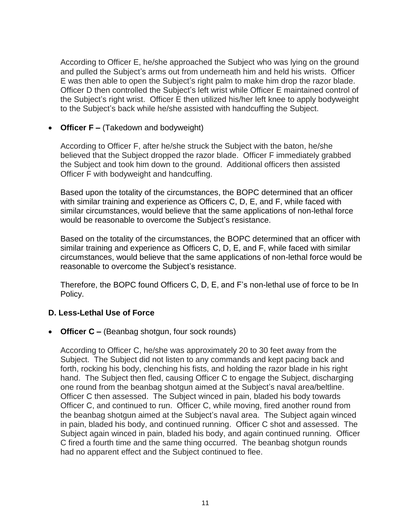According to Officer E, he/she approached the Subject who was lying on the ground and pulled the Subject's arms out from underneath him and held his wrists. Officer E was then able to open the Subject's right palm to make him drop the razor blade. Officer D then controlled the Subject's left wrist while Officer E maintained control of the Subject's right wrist. Officer E then utilized his/her left knee to apply bodyweight to the Subject's back while he/she assisted with handcuffing the Subject.

• **Officer F** – (Takedown and bodyweight)

According to Officer F, after he/she struck the Subject with the baton, he/she believed that the Subject dropped the razor blade. Officer F immediately grabbed the Subject and took him down to the ground. Additional officers then assisted Officer F with bodyweight and handcuffing.

Based upon the totality of the circumstances, the BOPC determined that an officer with similar training and experience as Officers C, D, E, and F, while faced with similar circumstances, would believe that the same applications of non-lethal force would be reasonable to overcome the Subject's resistance.

Based on the totality of the circumstances, the BOPC determined that an officer with similar training and experience as Officers C, D, E, and F, while faced with similar circumstances, would believe that the same applications of non-lethal force would be reasonable to overcome the Subject's resistance.

Therefore, the BOPC found Officers C, D, E, and F's non-lethal use of force to be In Policy.

# **D. Less-Lethal Use of Force**

• **Officer C –** (Beanbag shotgun, four sock rounds)

According to Officer C, he/she was approximately 20 to 30 feet away from the Subject. The Subject did not listen to any commands and kept pacing back and forth, rocking his body, clenching his fists, and holding the razor blade in his right hand. The Subject then fled, causing Officer C to engage the Subject, discharging one round from the beanbag shotgun aimed at the Subject's naval area/beltline. Officer C then assessed. The Subject winced in pain, bladed his body towards Officer C, and continued to run. Officer C, while moving, fired another round from the beanbag shotgun aimed at the Subject's naval area. The Subject again winced in pain, bladed his body, and continued running. Officer C shot and assessed. The Subject again winced in pain, bladed his body, and again continued running. Officer C fired a fourth time and the same thing occurred. The beanbag shotgun rounds had no apparent effect and the Subject continued to flee.